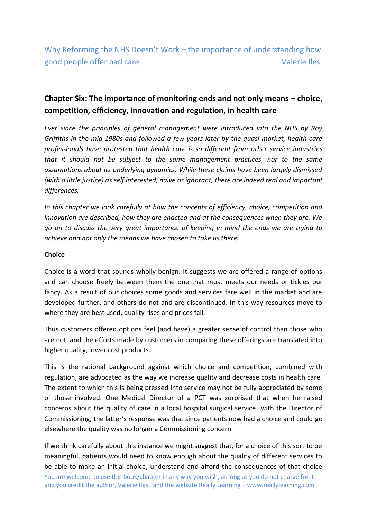# **Chapter Six: The importance of monitoring ends and not only means – choice, competition, efficiency, innovation and regulation, in health care**

*Ever since the principles of general management were introduced into the NHS by Roy Griffiths in the mid 1980s and followed a few years later by the quasi market, health care professionals have protested that health care is so different from other service industries that it should not be subject to the same management practices, nor to the same assumptions about its underlying dynamics. While these claims have been largely dismissed (with a little justice) as self interested, naïve or ignorant, there are indeed real and important differences.* 

*In this chapter we look carefully at how the concepts of efficiency, choice, competition and innovation are described, how they are enacted and at the consequences when they are. We go on to discuss the very great importance of keeping in mind the ends we are trying to achieve and not only the means we have chosen to take us there.*

## **Choice**

Choice is a word that sounds wholly benign. It suggests we are offered a range of options and can choose freely between them the one that most meets our needs or tickles our fancy. As a result of our choices some goods and services fare well in the market and are developed further, and others do not and are discontinued. In this way resources move to where they are best used, quality rises and prices fall.

Thus customers offered options feel (and have) a greater sense of control than those who are not, and the efforts made by customers in comparing these offerings are translated into higher quality, lower cost products.

This is the rational background against which choice and competition, combined with regulation, are advocated as the way we increase quality and decrease costs in health care. The extent to which this is being pressed into service may not be fully appreciated by some of those involved. One Medical Director of a PCT was surprised that when he raised concerns about the quality of care in a local hospital surgical service with the Director of Commissioning, the latter's response was that since patients now had a choice and could go elsewhere the quality was no longer a Commissioning concern.

You are welcome to use this book/chapter in any way you wish, as long as you do not charge for it and you credit the author, Valerie Iles, and the website Really Learning - www.reallylearning.com If we think carefully about this instance we might suggest that, for a choice of this sort to be meaningful, patients would need to know enough about the quality of different services to be able to make an initial choice, understand and afford the consequences of that choice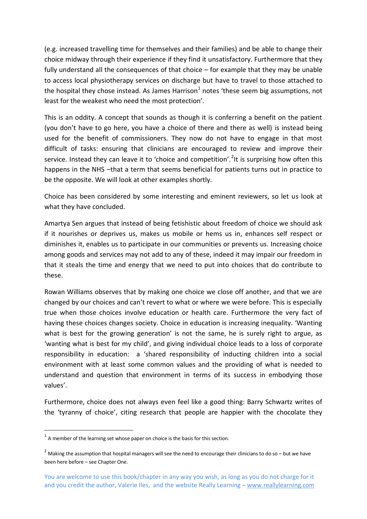(e.g. increased travelling time for themselves and their families) and be able to change their choice midway through their experience if they find it unsatisfactory. Furthermore that they fully understand all the consequences of that choice – for example that they may be unable to access local physiotherapy services on discharge but have to travel to those attached to the hospital they chose instead. As James Harrison<sup>1</sup> notes 'these seem big assumptions, not least for the weakest who need the most protection'.

This is an oddity. A concept that sounds as though it is conferring a benefit on the patient (you don't have to go here, you have a choice of there and there as well) is instead being used for the benefit of commissioners. They now do not have to engage in that most difficult of tasks: ensuring that clinicians are encouraged to review and improve their service. Instead they can leave it to 'choice and competition'.<sup>2</sup>It is surprising how often this happens in the NHS -that a term that seems beneficial for patients turns out in practice to be the opposite. We will look at other examples shortly.

Choice has been considered by some interesting and eminent reviewers, so let us look at what they have concluded.

Amartya Sen argues that instead of being fetishistic about freedom of choice we should ask if it nourishes or deprives us, makes us mobile or hems us in, enhances self respect or diminishes it, enables us to participate in our communities or prevents us. Increasing choice among goods and services may not add to any of these, indeed it may impair our freedom in that it steals the time and energy that we need to put into choices that do contribute to these.

Rowan Williams observes that by making one choice we close off another, and that we are changed by our choices and can't revert to what or where we were before. This is especially true when those choices involve education or health care. Furthermore the very fact of having these choices changes society. Choice in education is increasing inequality. 'Wanting what is best for the growing generation' is not the same, he is surely right to argue, as 'wanting what is best for my child', and giving individual choice leads to a loss of corporate responsibility in education: a 'shared responsibility of inducting children into a social environment with at least some common values and the providing of what is needed to understand and question that environment in terms of its success in embodying those values'.

Furthermore, choice does not always even feel like a good thing: Barry Schwartz writes of the 'tyranny of choice', citing research that people are happier with the chocolate they

 $<sup>1</sup>$  A member of the learning set whose paper on choice is the basis for this section.</sup>

 $2$  Making the assumption that hospital managers will see the need to encourage their clinicians to do so – but we have been here before – see Chapter One.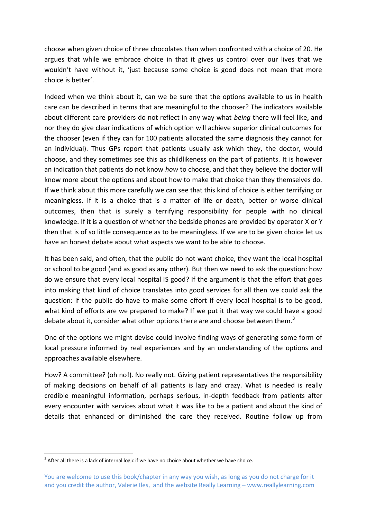choose when given choice of three chocolates than when confronted with a choice of 20. He argues that while we embrace choice in that it gives us control over our lives that we wouldn't have without it, 'just because some choice is good does not mean that more choice is better'.

Indeed when we think about it, can we be sure that the options available to us in health care can be described in terms that are meaningful to the chooser? The indicators available about different care providers do not reflect in any way what *being* there will feel like, and nor they do give clear indications of which option will achieve superior clinical outcomes for the chooser (even if they can for 100 patients allocated the same diagnosis they cannot for an individual). Thus GPs report that patients usually ask which they, the doctor, would choose, and they sometimes see this as childlikeness on the part of patients. It is however an indication that patients do not know *how* to choose, and that they believe the doctor will know more about the options and about how to make that choice than they themselves do. If we think about this more carefully we can see that this kind of choice is either terrifying or meaningless. If it is a choice that is a matter of life or death, better or worse clinical outcomes, then that is surely a terrifying responsibility for people with no clinical knowledge. If it is a question of whether the bedside phones are provided by operator X or Y then that is of so little consequence as to be meaningless. If we are to be given choice let us have an honest debate about what aspects we want to be able to choose.

It has been said, and often, that the public do not want choice, they want the local hospital or school to be good (and as good as any other). But then we need to ask the question: how do we ensure that every local hospital IS good? If the argument is that the effort that goes into making that kind of choice translates into good services for all then we could ask the question: if the public do have to make some effort if every local hospital is to be good, what kind of efforts are we prepared to make? If we put it that way we could have a good debate about it, consider what other options there are and choose between them.<sup>3</sup>

One of the options we might devise could involve finding ways of generating some form of local pressure informed by real experiences and by an understanding of the options and approaches available elsewhere.

How? A committee? (oh no!). No really not. Giving patient representatives the responsibility of making decisions on behalf of all patients is lazy and crazy. What is needed is really credible meaningful information, perhaps serious, in-depth feedback from patients after every encounter with services about what it was like to be a patient and about the kind of details that enhanced or diminished the care they received. Routine follow up from

 $3$  After all there is a lack of internal logic if we have no choice about whether we have choice.

You are welcome to use this book/chapter in any way you wish, as long as you do not charge for it and you credit the author, Valerie Iles, and the website Really Learning - www.reallylearning.com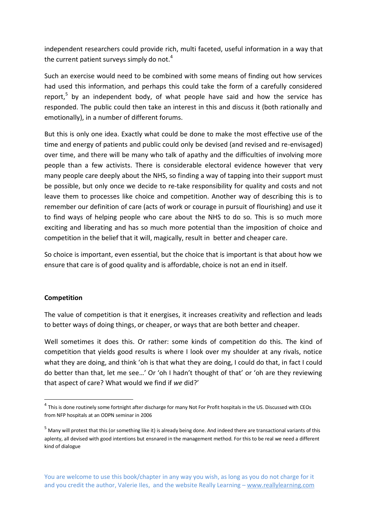independent researchers could provide rich, multi faceted, useful information in a way that the current patient surveys simply do not. $4$ 

Such an exercise would need to be combined with some means of finding out how services had used this information, and perhaps this could take the form of a carefully considered report,<sup>5</sup> by an independent body, of what people have said and how the service has responded. The public could then take an interest in this and discuss it (both rationally and emotionally), in a number of different forums.

But this is only one idea. Exactly what could be done to make the most effective use of the time and energy of patients and public could only be devised (and revised and re-envisaged) over time, and there will be many who talk of apathy and the difficulties of involving more people than a few activists. There is considerable electoral evidence however that very many people care deeply about the NHS, so finding a way of tapping into their support must be possible, but only once we decide to re-take responsibility for quality and costs and not leave them to processes like choice and competition. Another way of describing this is to remember our definition of care (acts of work or courage in pursuit of flourishing) and use it to find ways of helping people who care about the NHS to do so. This is so much more exciting and liberating and has so much more potential than the imposition of choice and competition in the belief that it will, magically, result in better and cheaper care.

So choice is important, even essential, but the choice that is important is that about how we ensure that care is of good quality and is affordable, choice is not an end in itself.

## **Competition**

1

The value of competition is that it energises, it increases creativity and reflection and leads to better ways of doing things, or cheaper, or ways that are both better and cheaper.

Well sometimes it does this. Or rather: some kinds of competition do this. The kind of competition that yields good results is where I look over my shoulder at any rivals, notice what they are doing, and think 'oh is that what they are doing, I could do that, in fact I could do better than that, let me see…' Or 'oh I hadn't thought of that' or 'oh are they reviewing that aspect of care? What would we find if *we* did?'

<sup>&</sup>lt;sup>4</sup> This is done routinely some fortnight after discharge for many Not For Profit hospitals in the US. Discussed with CEOs from NFP hospitals at an ODPN seminar in 2006

<sup>&</sup>lt;sup>5</sup> Many will protest that this (or something like it) is already being done. And indeed there are transactional variants of this aplenty, all devised with good intentions but ensnared in the management method. For this to be real we need a different kind of dialogue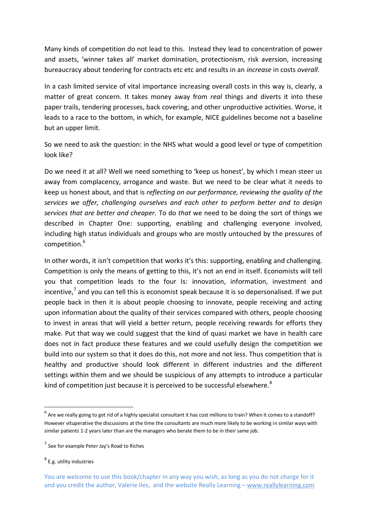Many kinds of competition do not lead to this. Instead they lead to concentration of power and assets, 'winner takes all' market domination, protectionism, risk aversion, increasing bureaucracy about tendering for contracts etc etc and results in an *increase* in costs *overall*.

In a cash limited service of vital importance increasing overall costs in this way is, clearly, a matter of great concern. It takes money away from *real* things and diverts it into these paper trails, tendering processes, back covering, and other unproductive activities. Worse, it leads to a race to the bottom, in which, for example, NICE guidelines become not a baseline but an upper limit.

So we need to ask the question: in the NHS what would a good level or type of competition look like?

Do we need it at all? Well we need something to 'keep us honest', by which I mean steer us away from complacency, arrogance and waste. But we need to be clear what it needs to keep us honest about, and that is *reflecting on our performance, reviewing the quality of the services we offer, challenging ourselves and each other to perform better and to design services that are better and cheaper.* To do *that* we need to be doing the sort of things we described in Chapter One: supporting, enabling and challenging everyone involved, including high status individuals and groups who are mostly untouched by the pressures of competition.<sup>6</sup>

In other words, it isn't competition that works it's this: supporting, enabling and challenging. Competition is only the means of getting to this, it's not an end in itself. Economists will tell you that competition leads to the four Is: innovation, information, investment and incentive,<sup>7</sup> and you can tell this is economist speak because it is so depersonalised. If we put people back in then it is about people choosing to innovate, people receiving and acting upon information about the quality of their services compared with others, people choosing to invest in areas that will yield a better return, people receiving rewards for efforts they make. Put that way we could suggest that the kind of quasi market we have in health care does not in fact produce these features and we could usefully design the competition we build into our system so that it does do this, not more and not less. Thus competition that is healthy and productive should look different in different industries and the different settings within them and we should be suspicious of any attempts to introduce a particular kind of competition just because it is perceived to be successful elsewhere. $8$ 

**.** 

 $^6$  Are we really going to get rid of a highly specialist consultant it has cost millions to train? When it comes to a standoff? However vituperative the discussions at the time the consultants are much more likely to be working in similar ways with similar patients 1-2 years later than are the managers who berate them to be in their same job.

<sup>&</sup>lt;sup>7</sup> See for example Peter Jay's Road to Riches

<sup>8</sup> E.g. utility industries

You are welcome to use this book/chapter in any way you wish, as long as you do not charge for it and you credit the author, Valerie Iles, and the website Really Learning - www.reallylearning.com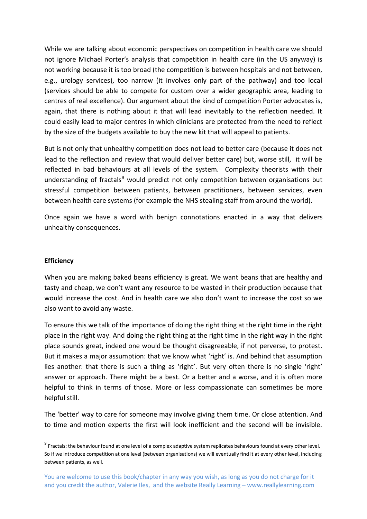While we are talking about economic perspectives on competition in health care we should not ignore Michael Porter's analysis that competition in health care (in the US anyway) is not working because it is too broad (the competition is between hospitals and not between, e.g., urology services), too narrow (it involves only part of the pathway) and too local (services should be able to compete for custom over a wider geographic area, leading to centres of real excellence). Our argument about the kind of competition Porter advocates is, again, that there is nothing about it that will lead inevitably to the reflection needed. It could easily lead to major centres in which clinicians are protected from the need to reflect by the size of the budgets available to buy the new kit that will appeal to patients.

But is not only that unhealthy competition does not lead to better care (because it does not lead to the reflection and review that would deliver better care) but, worse still, it will be reflected in bad behaviours at all levels of the system. Complexity theorists with their understanding of fractals $9$  would predict not only competition between organisations but stressful competition between patients, between practitioners, between services, even between health care systems (for example the NHS stealing staff from around the world).

Once again we have a word with benign connotations enacted in a way that delivers unhealthy consequences.

#### **Efficiency**

1

When you are making baked beans efficiency is great. We want beans that are healthy and tasty and cheap, we don't want any resource to be wasted in their production because that would increase the cost. And in health care we also don't want to increase the cost so we also want to avoid any waste.

To ensure this we talk of the importance of doing the right thing at the right time in the right place in the right way. And doing the right thing at the right time in the right way in the right place sounds great, indeed one would be thought disagreeable, if not perverse, to protest. But it makes a major assumption: that we know what 'right' is. And behind that assumption lies another: that there is such a thing as 'right'. But very often there is no single 'right' answer or approach. There might be a best. Or a better and a worse, and it is often more helpful to think in terms of those. More or less compassionate can sometimes be more helpful still.

The 'better' way to care for someone may involve giving them time. Or close attention. And to time and motion experts the first will look inefficient and the second will be invisible.

<sup>&</sup>lt;sup>9</sup> Fractals: the behaviour found at one level of a complex adaptive system replicates behaviours found at every other level. So if we introduce competition at one level (between organisations) we will eventually find it at every other level, including between patients, as well.

You are welcome to use this book/chapter in any way you wish, as long as you do not charge for it and you credit the author, Valerie Iles, and the website Really Learning - www.reallylearning.com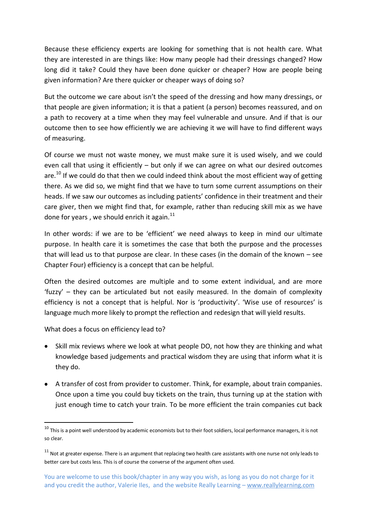Because these efficiency experts are looking for something that is not health care. What they are interested in are things like: How many people had their dressings changed? How long did it take? Could they have been done quicker or cheaper? How are people being given information? Are there quicker or cheaper ways of doing so?

But the outcome we care about isn't the speed of the dressing and how many dressings, or that people are given information; it is that a patient (a person) becomes reassured, and on a path to recovery at a time when they may feel vulnerable and unsure. And if that is our outcome then to see how efficiently we are achieving it we will have to find different ways of measuring.

Of course we must not waste money, we must make sure it is used wisely, and we could even call that using it efficiently – but only if we can agree on what our desired outcomes are.<sup>10</sup> If we could do that then we could indeed think about the most efficient way of getting there. As we did so, we might find that we have to turn some current assumptions on their heads. If we saw our outcomes as including patients' confidence in their treatment and their care giver, then we might find that, for example, rather than reducing skill mix as we have done for years, we should enrich it again. $^{11}$ 

In other words: if we are to be 'efficient' we need always to keep in mind our ultimate purpose. In health care it is sometimes the case that both the purpose and the processes that will lead us to that purpose are clear. In these cases (in the domain of the known – see Chapter Four) efficiency is a concept that can be helpful.

Often the desired outcomes are multiple and to some extent individual, and are more 'fuzzy' – they can be articulated but not easily measured. In the domain of complexity efficiency is not a concept that is helpful. Nor is 'productivity'. 'Wise use of resources' is language much more likely to prompt the reflection and redesign that will yield results.

What does a focus on efficiency lead to?

- Skill mix reviews where we look at what people DO, not how they are thinking and what knowledge based judgements and practical wisdom they are using that inform what it is they do.
- A transfer of cost from provider to customer. Think, for example, about train companies. Once upon a time you could buy tickets on the train, thus turning up at the station with just enough time to catch your train. To be more efficient the train companies cut back

 $10$  This is a point well understood by academic economists but to their foot soldiers, local performance managers, it is not so clear.

 $11$  Not at greater expense. There is an argument that replacing two health care assistants with one nurse not only leads to better care but costs less. This is of course the converse of the argument often used.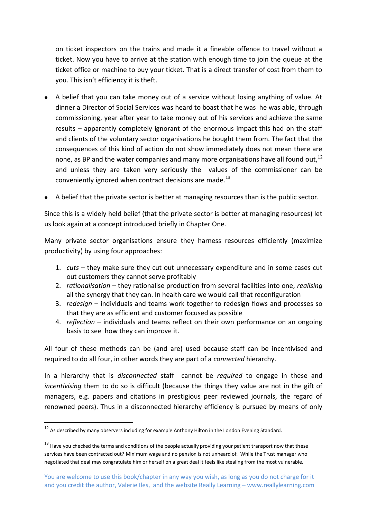on ticket inspectors on the trains and made it a fineable offence to travel without a ticket. Now you have to arrive at the station with enough time to join the queue at the ticket office or machine to buy your ticket. That is a direct transfer of cost from them to you. This isn't efficiency it is theft.

- A belief that you can take money out of a service without losing anything of value. At dinner a Director of Social Services was heard to boast that he was he was able, through commissioning, year after year to take money out of his services and achieve the same results – apparently completely ignorant of the enormous impact this had on the staff and clients of the voluntary sector organisations he bought them from. The fact that the consequences of this kind of action do not show immediately does not mean there are none, as BP and the water companies and many more organisations have all found out.<sup>12</sup> and unless they are taken very seriously the values of the commissioner can be conveniently ignored when contract decisions are made. $^{13}$
- A belief that the private sector is better at managing resources than is the public sector.

Since this is a widely held belief (that the private sector is better at managing resources) let us look again at a concept introduced briefly in Chapter One.

Many private sector organisations ensure they harness resources efficiently (maximize productivity) by using four approaches:

- 1. *cuts* they make sure they cut out unnecessary expenditure and in some cases cut out customers they cannot serve profitably
- 2. *rationalisation* they rationalise production from several facilities into one, *realising* all the synergy that they can. In health care we would call that reconfiguration
- 3. *redesign* individuals and teams work together to redesign flows and processes so that they are as efficient and customer focused as possible
- 4. *reflection* individuals and teams reflect on their own performance on an ongoing basis to see how they can improve it.

All four of these methods can be (and are) used because staff can be incentivised and required to do all four, in other words they are part of a *connected* hierarchy.

In a hierarchy that is *disconnected* staff cannot be *required* to engage in these and *incentivising* them to do so is difficult (because the things they value are not in the gift of managers, e.g. papers and citations in prestigious peer reviewed journals, the regard of renowned peers). Thus in a disconnected hierarchy efficiency is pursued by means of only

<sup>&</sup>lt;sup>12</sup> As described by many observers including for example Anthony Hilton in the London Evening Standard.

 $13$  Have you checked the terms and conditions of the people actually providing your patient transport now that these services have been contracted out? Minimum wage and no pension is not unheard of. While the Trust manager who negotiated that deal may congratulate him or herself on a great deal it feels like stealing from the most vulnerable.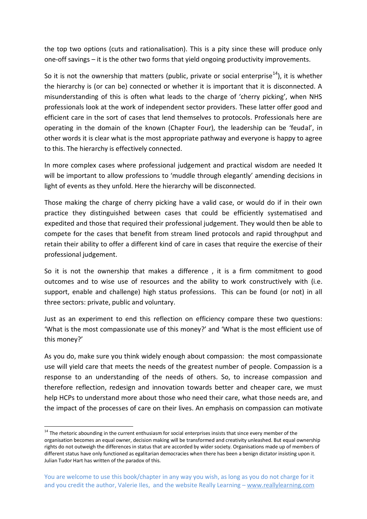the top two options (cuts and rationalisation). This is a pity since these will produce only one-off savings – it is the other two forms that yield ongoing productivity improvements.

So it is not the ownership that matters (public, private or social enterprise<sup>14</sup>), it is whether the hierarchy is (or can be) connected or whether it is important that it is disconnected. A misunderstanding of this is often what leads to the charge of 'cherry picking', when NHS professionals look at the work of independent sector providers. These latter offer good and efficient care in the sort of cases that lend themselves to protocols. Professionals here are operating in the domain of the known (Chapter Four), the leadership can be 'feudal', in other words it is clear what is the most appropriate pathway and everyone is happy to agree to this. The hierarchy is effectively connected.

In more complex cases where professional judgement and practical wisdom are needed It will be important to allow professions to 'muddle through elegantly' amending decisions in light of events as they unfold. Here the hierarchy will be disconnected.

Those making the charge of cherry picking have a valid case, or would do if in their own practice they distinguished between cases that could be efficiently systematised and expedited and those that required their professional judgement. They would then be able to compete for the cases that benefit from stream lined protocols and rapid throughput and retain their ability to offer a different kind of care in cases that require the exercise of their professional judgement.

So it is not the ownership that makes a difference , it is a firm commitment to good outcomes and to wise use of resources and the ability to work constructively with (i.e. support, enable and challenge) high status professions. This can be found (or not) in all three sectors: private, public and voluntary.

Just as an experiment to end this reflection on efficiency compare these two questions: 'What is the most compassionate use of this money?' and 'What is the most efficient use of this money?'

As you do, make sure you think widely enough about compassion: the most compassionate use will yield care that meets the needs of the greatest number of people. Compassion is a response to an understanding of the needs of others. So, to increase compassion and therefore reflection, redesign and innovation towards better and cheaper care, we must help HCPs to understand more about those who need their care, what those needs are, and the impact of the processes of care on their lives. An emphasis on compassion can motivate

-

<sup>&</sup>lt;sup>14</sup> The rhetoric abounding in the current enthusiasm for social enterprises insists that since every member of the organisation becomes an equal owner, decision making will be transformed and creativity unleashed. But equal ownership rights do not outweigh the differences in status that are accorded by wider society. Organisations made up of members of different status have only functioned as egalitarian democracies when there has been a benign dictator insisting upon it. Julian Tudor Hart has written of the paradox of this.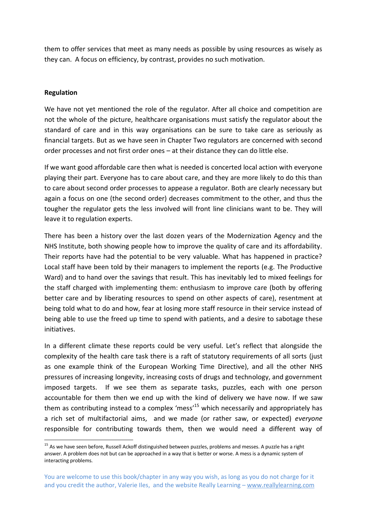them to offer services that meet as many needs as possible by using resources as wisely as they can. A focus on efficiency, by contrast, provides no such motivation.

## **Regulation**

1

We have not yet mentioned the role of the regulator. After all choice and competition are not the whole of the picture, healthcare organisations must satisfy the regulator about the standard of care and in this way organisations can be sure to take care as seriously as financial targets. But as we have seen in Chapter Two regulators are concerned with second order processes and not first order ones – at their distance they can do little else.

If we want good affordable care then what is needed is concerted local action with everyone playing their part. Everyone has to care about care, and they are more likely to do this than to care about second order processes to appease a regulator. Both are clearly necessary but again a focus on one (the second order) decreases commitment to the other, and thus the tougher the regulator gets the less involved will front line clinicians want to be. They will leave it to regulation experts.

There has been a history over the last dozen years of the Modernization Agency and the NHS Institute, both showing people how to improve the quality of care and its affordability. Their reports have had the potential to be very valuable. What has happened in practice? Local staff have been told by their managers to implement the reports (e.g. The Productive Ward) and to hand over the savings that result. This has inevitably led to mixed feelings for the staff charged with implementing them: enthusiasm to improve care (both by offering better care and by liberating resources to spend on other aspects of care), resentment at being told what to do and how, fear at losing more staff resource in their service instead of being able to use the freed up time to spend with patients, and a desire to sabotage these initiatives.

In a different climate these reports could be very useful. Let's reflect that alongside the complexity of the health care task there is a raft of statutory requirements of all sorts (just as one example think of the European Working Time Directive), and all the other NHS pressures of increasing longevity, increasing costs of drugs and technology, and government imposed targets. If we see them as separate tasks, puzzles, each with one person accountable for them then we end up with the kind of delivery we have now. If we saw them as contributing instead to a complex 'mess'<sup>15</sup> which necessarily and appropriately has a rich set of multifactorial aims, and we made (or rather saw, or expected) *everyone* responsible for contributing towards them, then we would need a different way of

<sup>&</sup>lt;sup>15</sup> As we have seen before, Russell Ackoff distinguished between puzzles, problems and messes. A puzzle has a right answer. A problem does not but can be approached in a way that is better or worse. A mess is a dynamic system of interacting problems.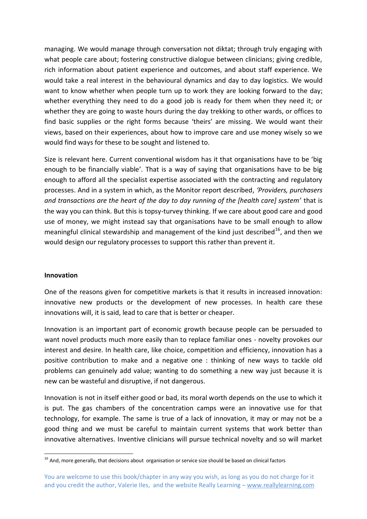managing. We would manage through conversation not diktat; through truly engaging with what people care about; fostering constructive dialogue between clinicians; giving credible, rich information about patient experience and outcomes, and about staff experience. We would take a real interest in the behavioural dynamics and day to day logistics. We would want to know whether when people turn up to work they are looking forward to the day; whether everything they need to do a good job is ready for them when they need it; or whether they are going to waste hours during the day trekking to other wards, or offices to find basic supplies or the right forms because 'theirs' are missing. We would want their views, based on their experiences, about how to improve care and use money wisely so we would find ways for these to be sought and listened to.

Size is relevant here. Current conventional wisdom has it that organisations have to be 'big enough to be financially viable'. That is a way of saying that organisations have to be big enough to afford all the specialist expertise associated with the contracting and regulatory processes. And in a system in which, as the Monitor report described, *'Providers, purchasers and transactions are the heart of the day to day running of the [health care] system'* that is the way you can think. But this is topsy-turvey thinking. If we care about good care and good use of money, we might instead say that organisations have to be small enough to allow meaningful clinical stewardship and management of the kind just described<sup>16</sup>, and then we would design our regulatory processes to support this rather than prevent it.

#### **Innovation**

One of the reasons given for competitive markets is that it results in increased innovation: innovative new products or the development of new processes. In health care these innovations will, it is said, lead to care that is better or cheaper.

Innovation is an important part of economic growth because people can be persuaded to want novel products much more easily than to replace familiar ones - novelty provokes our interest and desire. In health care, like choice, competition and efficiency, innovation has a positive contribution to make and a negative one : thinking of new ways to tackle old problems can genuinely add value; wanting to do something a new way just because it is new can be wasteful and disruptive, if not dangerous.

Innovation is not in itself either good or bad, its moral worth depends on the use to which it is put. The gas chambers of the concentration camps were an innovative use for that technology, for example. The same is true of a lack of innovation, it may or may not be a good thing and we must be careful to maintain current systems that work better than innovative alternatives. Inventive clinicians will pursue technical novelty and so will market

<sup>1</sup> <sup>16</sup> And, more generally, that decisions about organisation or service size should be based on clinical factors

You are welcome to use this book/chapter in any way you wish, as long as you do not charge for it and you credit the author, Valerie Iles, and the website Really Learning - www.reallylearning.com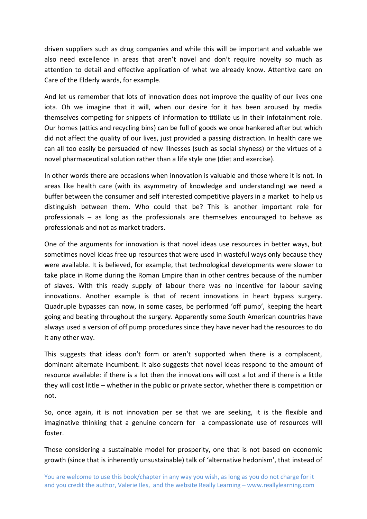driven suppliers such as drug companies and while this will be important and valuable we also need excellence in areas that aren't novel and don't require novelty so much as attention to detail and effective application of what we already know. Attentive care on Care of the Elderly wards, for example.

And let us remember that lots of innovation does not improve the quality of our lives one iota. Oh we imagine that it will, when our desire for it has been aroused by media themselves competing for snippets of information to titillate us in their infotainment role. Our homes (attics and recycling bins) can be full of goods we once hankered after but which did not affect the quality of our lives, just provided a passing distraction. In health care we can all too easily be persuaded of new illnesses (such as social shyness) or the virtues of a novel pharmaceutical solution rather than a life style one (diet and exercise).

In other words there are occasions when innovation is valuable and those where it is not. In areas like health care (with its asymmetry of knowledge and understanding) we need a buffer between the consumer and self interested competitive players in a market to help us distinguish between them. Who could that be? This is another important role for professionals – as long as the professionals are themselves encouraged to behave as professionals and not as market traders.

One of the arguments for innovation is that novel ideas use resources in better ways, but sometimes novel ideas free up resources that were used in wasteful ways only because they were available. It is believed, for example, that technological developments were slower to take place in Rome during the Roman Empire than in other centres because of the number of slaves. With this ready supply of labour there was no incentive for labour saving innovations. Another example is that of recent innovations in heart bypass surgery. Quadruple bypasses can now, in some cases, be performed 'off pump', keeping the heart going and beating throughout the surgery. Apparently some South American countries have always used a version of off pump procedures since they have never had the resources to do it any other way.

This suggests that ideas don't form or aren't supported when there is a complacent, dominant alternate incumbent. It also suggests that novel ideas respond to the amount of resource available: if there is a lot then the innovations will cost a lot and if there is a little they will cost little – whether in the public or private sector, whether there is competition or not.

So, once again, it is not innovation per se that we are seeking, it is the flexible and imaginative thinking that a genuine concern for a compassionate use of resources will foster.

Those considering a sustainable model for prosperity, one that is not based on economic growth (since that is inherently unsustainable) talk of 'alternative hedonism', that instead of

You are welcome to use this book/chapter in any way you wish, as long as you do not charge for it and you credit the author, Valerie Iles, and the website Really Learning - www.reallylearning.com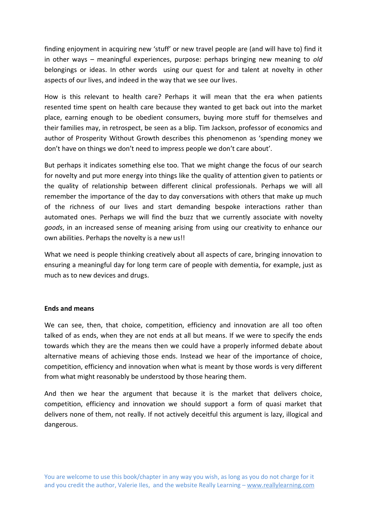finding enjoyment in acquiring new 'stuff' or new travel people are (and will have to) find it in other ways – meaningful experiences, purpose: perhaps bringing new meaning to *old* belongings or ideas. In other words using our quest for and talent at novelty in other aspects of our lives, and indeed in the way that we see our lives.

How is this relevant to health care? Perhaps it will mean that the era when patients resented time spent on health care because they wanted to get back out into the market place, earning enough to be obedient consumers, buying more stuff for themselves and their families may, in retrospect, be seen as a blip. Tim Jackson, professor of economics and author of Prosperity Without Growth describes this phenomenon as 'spending money we don't have on things we don't need to impress people we don't care about'.

But perhaps it indicates something else too. That we might change the focus of our search for novelty and put more energy into things like the quality of attention given to patients or the quality of relationship between different clinical professionals. Perhaps we will all remember the importance of the day to day conversations with others that make up much of the richness of our lives and start demanding bespoke interactions rather than automated ones. Perhaps we will find the buzz that we currently associate with novelty *goods*, in an increased sense of meaning arising from using our creativity to enhance our own abilities. Perhaps the novelty is a new us!!

What we need is people thinking creatively about all aspects of care, bringing innovation to ensuring a meaningful day for long term care of people with dementia, for example, just as much as to new devices and drugs.

## **Ends and means**

We can see, then, that choice, competition, efficiency and innovation are all too often talked of as ends, when they are not ends at all but means. If we were to specify the ends towards which they are the means then we could have a properly informed debate about alternative means of achieving those ends. Instead we hear of the importance of choice, competition, efficiency and innovation when what is meant by those words is very different from what might reasonably be understood by those hearing them.

And then we hear the argument that because it is the market that delivers choice, competition, efficiency and innovation we should support a form of quasi market that delivers none of them, not really. If not actively deceitful this argument is lazy, illogical and dangerous.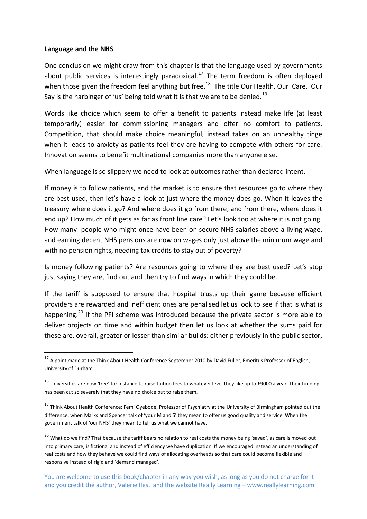#### **Language and the NHS**

1

One conclusion we might draw from this chapter is that the language used by governments about public services is interestingly paradoxical.<sup>17</sup> The term freedom is often deployed when those given the freedom feel anything but free.<sup>18</sup> The title Our Health, Our Care, Our Say is the harbinger of 'us' being told what it is that we are to be denied.<sup>19</sup>

Words like choice which seem to offer a benefit to patients instead make life (at least temporarily) easier for commissioning managers and offer no comfort to patients. Competition, that should make choice meaningful, instead takes on an unhealthy tinge when it leads to anxiety as patients feel they are having to compete with others for care. Innovation seems to benefit multinational companies more than anyone else.

When language is so slippery we need to look at outcomes rather than declared intent.

If money is to follow patients, and the market is to ensure that resources go to where they are best used, then let's have a look at just where the money does go. When it leaves the treasury where does it go? And where does it go from there, and from there, where does it end up? How much of it gets as far as front line care? Let's look too at where it is not going. How many people who might once have been on secure NHS salaries above a living wage, and earning decent NHS pensions are now on wages only just above the minimum wage and with no pension rights, needing tax credits to stay out of poverty?

Is money following patients? Are resources going to where they are best used? Let's stop just saying they are, find out and then try to find ways in which they could be.

If the tariff is supposed to ensure that hospital trusts up their game because efficient providers are rewarded and inefficient ones are penalised let us look to see if that is what is happening.<sup>20</sup> If the PFI scheme was introduced because the private sector is more able to deliver projects on time and within budget then let us look at whether the sums paid for these are, overall, greater or lesser than similar builds: either previously in the public sector,

<sup>&</sup>lt;sup>17</sup> A point made at the Think About Health Conference September 2010 by David Fuller, Emeritus Professor of English, University of Durham

<sup>&</sup>lt;sup>18</sup> Universities are now 'free' for instance to raise tuition fees to whatever level they like up to £9000 a year. Their funding has been cut so severely that they have no choice but to raise them.

<sup>&</sup>lt;sup>19</sup> Think About Health Conference: Femi Oyebode, Professor of Psychiatry at the University of Birmingham pointed out the difference: when Marks and Spencer talk of 'your M and S' they mean to offer us good quality and service. When the government talk of 'our NHS' they mean to tell us what we cannot have.

<sup>&</sup>lt;sup>20</sup> What do we find? That because the tariff bears no relation to real costs the money being 'saved', as care is moved out into primary care, is fictional and instead of efficiency we have duplication. If we encouraged instead an understanding of real costs and how they behave we could find ways of allocating overheads so that care could become flexible and responsive instead of rigid and 'demand managed'.